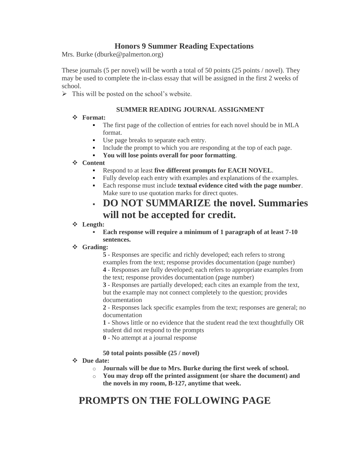### **Honors 9 Summer Reading Expectations**

Mrs. Burke (dburke@palmerton.org)

These journals (5 per novel) will be worth a total of 50 points (25 points / novel). They may be used to complete the in-class essay that will be assigned in the first 2 weeks of school.

 $\triangleright$  This will be posted on the school's website.

#### **SUMMER READING JOURNAL ASSIGNMENT**

#### ❖ **Format:**

- The first page of the collection of entries for each novel should be in MLA format.
- Use page breaks to separate each entry.
- Include the prompt to which you are responding at the top of each page.
- **You will lose points overall for poor formatting**.

#### ❖ **Content**

- Respond to at least five different prompts for EACH NOVEL.
- Fully develop each entry with examples and explanations of the examples.
- Each response must include **textual evidence cited with the page number**. Make sure to use quotation marks for direct quotes.

### ▪ **DO NOT SUMMARIZE the novel. Summaries will not be accepted for credit.**

#### ❖ **Length:**

#### Each response will require a minimum of 1 paragraph of at least 7-10 **sentences.**

#### ❖ **Grading:**

**5** - Responses are specific and richly developed; each refers to strong examples from the text; response provides documentation (page number)

**4** - Responses are fully developed; each refers to appropriate examples from the text; response provides documentation (page number)

**3** - Responses are partially developed; each cites an example from the text, but the example may not connect completely to the question; provides documentation

**2** - Responses lack specific examples from the text; responses are general; no documentation

**1 -** Shows little or no evidence that the student read the text thoughtfully OR student did not respond to the prompts

**0** - No attempt at a journal response

#### **50 total points possible (25 / novel)**

#### ❖ **Due date:**

- o **Journals will be due to Mrs. Burke during the first week of school.**
- o **You may drop off the printed assignment (or share the document) and the novels in my room, B-127, anytime that week.**

# **PROMPTS ON THE FOLLOWING PAGE**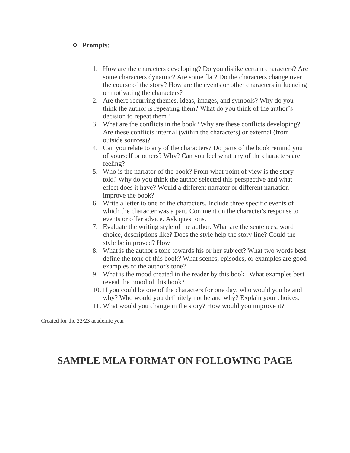#### ❖ **Prompts:**

- 1. How are the characters developing? Do you dislike certain characters? Are some characters dynamic? Are some flat? Do the characters change over the course of the story? How are the events or other characters influencing or motivating the characters?
- 2. Are there recurring themes, ideas, images, and symbols? Why do you think the author is repeating them? What do you think of the author's decision to repeat them?
- 3. What are the conflicts in the book? Why are these conflicts developing? Are these conflicts internal (within the characters) or external (from outside sources)?
- 4. Can you relate to any of the characters? Do parts of the book remind you of yourself or others? Why? Can you feel what any of the characters are feeling?
- 5. Who is the narrator of the book? From what point of view is the story told? Why do you think the author selected this perspective and what effect does it have? Would a different narrator or different narration improve the book?
- 6. Write a letter to one of the characters. Include three specific events of which the character was a part. Comment on the character's response to events or offer advice. Ask questions.
- 7. Evaluate the writing style of the author. What are the sentences, word choice, descriptions like? Does the style help the story line? Could the style be improved? How
- 8. What is the author's tone towards his or her subject? What two words best define the tone of this book? What scenes, episodes, or examples are good examples of the author's tone?
- 9. What is the mood created in the reader by this book? What examples best reveal the mood of this book?
- 10. If you could be one of the characters for one day, who would you be and why? Who would you definitely not be and why? Explain your choices.
- 11. What would you change in the story? How would you improve it?

Created for the 22/23 academic year

## **SAMPLE MLA FORMAT ON FOLLOWING PAGE**